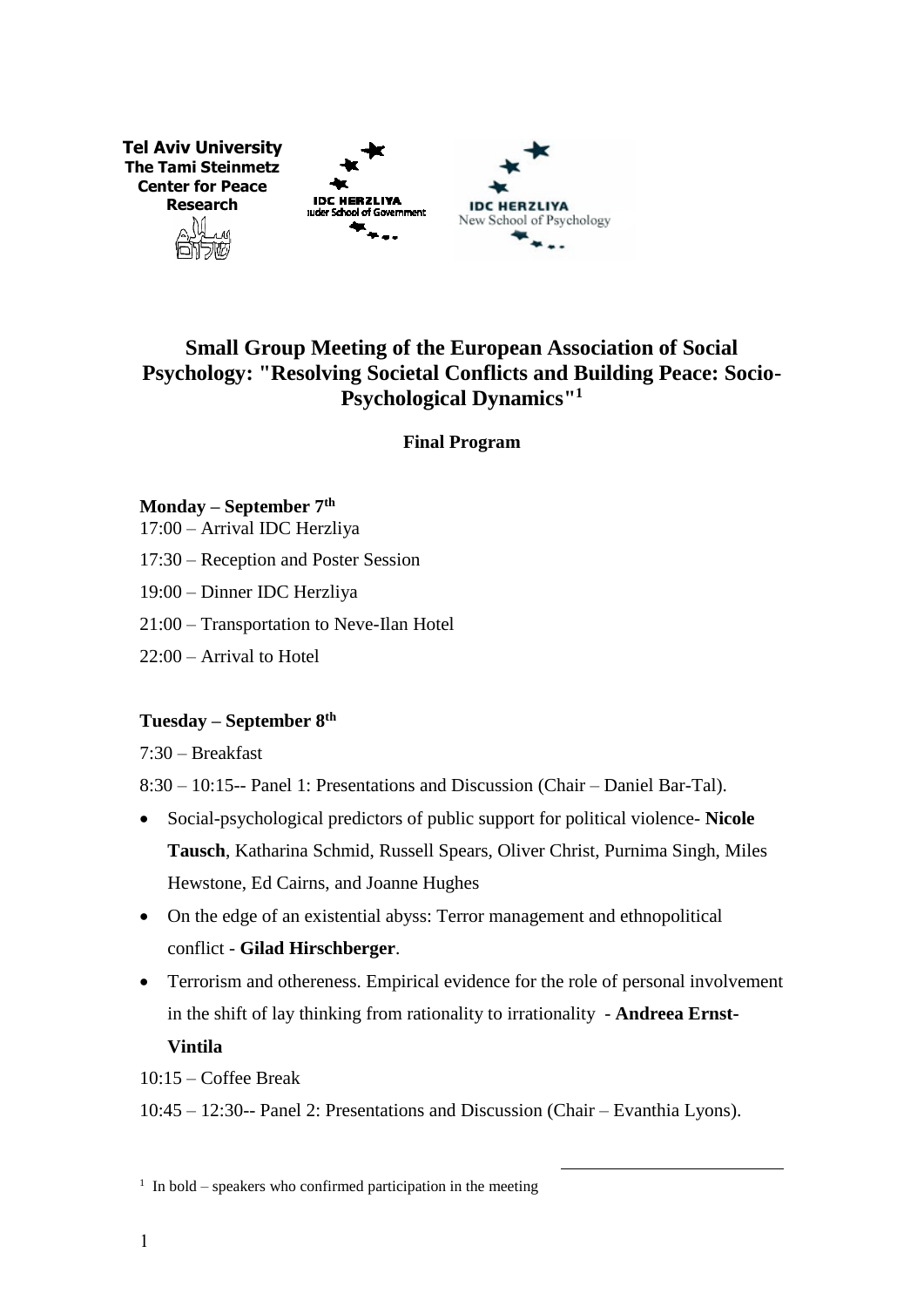

# **Small Group Meeting of the European Association of Social Psychology: "Resolving Societal Conflicts and Building Peace: Socio-Psychological Dynamics" 1**

**Final Program** 

### **Monday – September 7th**

- 17:00 Arrival IDC Herzliya
- 17:30 Reception and Poster Session
- 19:00 Dinner IDC Herzliya
- 21:00 Transportation to Neve-Ilan Hotel
- 22:00 Arrival to Hotel

## **Tuesday – September 8th**

7:30 – Breakfast

8:30 – 10:15-- Panel 1: Presentations and Discussion (Chair – Daniel Bar-Tal).

- Social-psychological predictors of public support for political violence- **Nicole Tausch**, Katharina Schmid, Russell Spears, Oliver Christ, Purnima Singh, Miles Hewstone, Ed Cairns, and Joanne Hughes
- On the edge of an existential abyss: Terror management and ethnopolitical conflict - **Gilad Hirschberger**.
- Terrorism and othereness. Empirical evidence for the role of personal involvement in the shift of lay thinking from rationality to irrationality - **Andreea Ernst-Vintila**

1

10:15 – Coffee Break

10:45 – 12:30-- Panel 2: Presentations and Discussion (Chair – Evanthia Lyons).

 $1$  In bold – speakers who confirmed participation in the meeting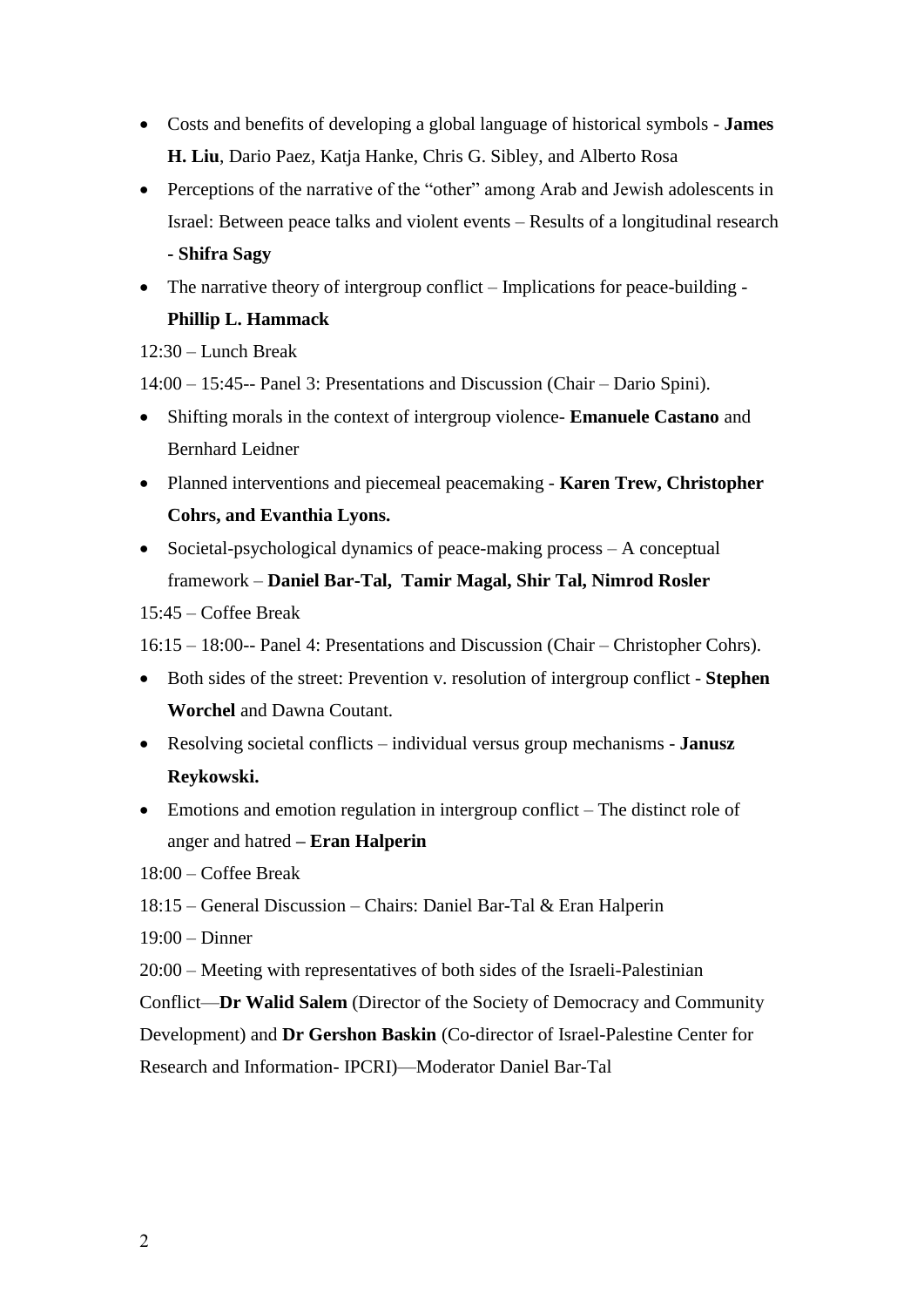- Costs and benefits of developing a global language of historical symbols **James H. Liu**, Dario Paez, Katja Hanke, Chris G. Sibley, and Alberto Rosa
- Perceptions of the narrative of the "other" among Arab and Jewish adolescents in Israel: Between peace talks and violent events – Results of a longitudinal research **- Shifra Sagy**
- The narrative theory of intergroup conflict Implications for peace-building -**Phillip L. Hammack**

 $12:30 -$ Lunch Break

14:00 – 15:45-- Panel 3: Presentations and Discussion (Chair – Dario Spini).

- Shifting morals in the context of intergroup violence- **Emanuele Castano** and Bernhard Leidner
- Planned interventions and piecemeal peacemaking **Karen Trew, Christopher Cohrs, and Evanthia Lyons.**
- Societal-psychological dynamics of peace-making process  $A$  conceptual framework – **Daniel Bar-Tal, Tamir Magal, Shir Tal, Nimrod Rosler** 15:45 – Coffee Break

16:15 – 18:00-- Panel 4: Presentations and Discussion (Chair – Christopher Cohrs).

- Both sides of the street: Prevention v. resolution of intergroup conflict **Stephen Worchel** and Dawna Coutant.
- Resolving societal conflicts individual versus group mechanisms **Janusz Reykowski.**
- Emotions and emotion regulation in intergroup conflict The distinct role of anger and hatred **– Eran Halperin**

18:00 – Coffee Break

- 18:15 General Discussion Chairs: Daniel Bar-Tal & Eran Halperin
- 19:00 Dinner
- 20:00 Meeting with representatives of both sides of the Israeli-Palestinian

Conflict—**Dr Walid Salem** (Director of the Society of Democracy and Community

Development) and **Dr Gershon Baskin** (Co-director of Israel-Palestine Center for

Research and Information- IPCRI)—Moderator Daniel Bar-Tal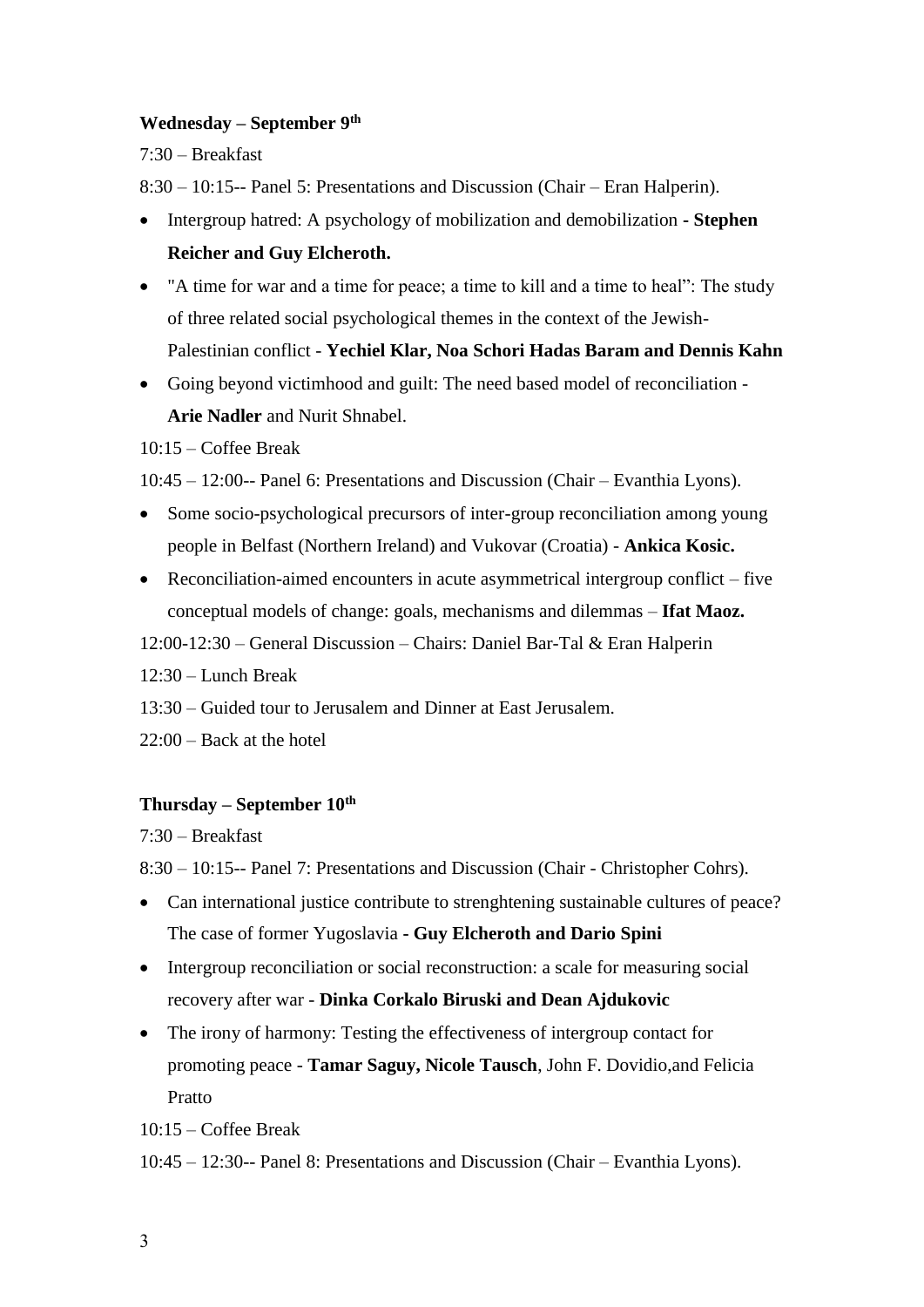#### **Wednesday – September 9th**

7:30 – Breakfast

8:30 – 10:15-- Panel 5: Presentations and Discussion (Chair – Eran Halperin).

- Intergroup hatred: A psychology of mobilization and demobilization **- Stephen Reicher and Guy Elcheroth.**
- "A time for war and a time for peace; a time to kill and a time to heal": The study of three related social psychological themes in the context of the Jewish-Palestinian conflict - **Yechiel Klar, Noa Schori Hadas Baram and Dennis Kahn**
- Going beyond victimhood and guilt: The need based model of reconciliation **Arie Nadler** and Nurit Shnabel.

10:15 – Coffee Break

10:45 – 12:00-- Panel 6: Presentations and Discussion (Chair – Evanthia Lyons).

- Some socio-psychological precursors of inter-group reconciliation among young people in Belfast (Northern Ireland) and Vukovar (Croatia) - **Ankica Kosic.**
- Reconciliation-aimed encounters in acute asymmetrical intergroup conflict five conceptual models of change: goals, mechanisms and dilemmas – **Ifat Maoz.**

12:00-12:30 – General Discussion – Chairs: Daniel Bar-Tal & Eran Halperin

12:30 – Lunch Break

13:30 – Guided tour to Jerusalem and Dinner at East Jerusalem.

22:00 – Back at the hotel

#### **Thursday – September 10th**

7:30 – Breakfast

8:30 – 10:15-- Panel 7: Presentations and Discussion (Chair - Christopher Cohrs).

- Can international justice contribute to strenghtening sustainable cultures of peace? The case of former Yugoslavia **- Guy Elcheroth and Dario Spini**
- Intergroup reconciliation or social reconstruction: a scale for measuring social recovery after war - **Dinka Corkalo Biruski and Dean Ajdukovic**
- The irony of harmony: Testing the effectiveness of intergroup contact for promoting peace - **Tamar Saguy, Nicole Tausch**, John F. Dovidio,and Felicia Pratto

10:15 – Coffee Break

10:45 – 12:30-- Panel 8: Presentations and Discussion (Chair – Evanthia Lyons).